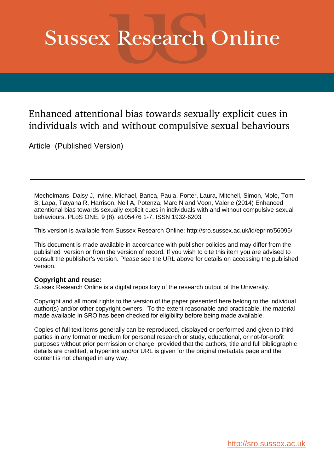# **Sussex Research Online**

## Enhanced attentional bias towards sexually explicit cues in individuals with and without compulsive sexual behaviours

Article (Published Version)

Mechelmans, Daisy J, Irvine, Michael, Banca, Paula, Porter, Laura, Mitchell, Simon, Mole, Tom B, Lapa, Tatyana R, Harrison, Neil A, Potenza, Marc N and Voon, Valerie (2014) Enhanced attentional bias towards sexually explicit cues in individuals with and without compulsive sexual behaviours. PLoS ONE, 9 (8). e105476 1-7. ISSN 1932-6203

This version is available from Sussex Research Online: http://sro.sussex.ac.uk/id/eprint/56095/

This document is made available in accordance with publisher policies and may differ from the published version or from the version of record. If you wish to cite this item you are advised to consult the publisher's version. Please see the URL above for details on accessing the published version.

## **Copyright and reuse:**

Sussex Research Online is a digital repository of the research output of the University.

Copyright and all moral rights to the version of the paper presented here belong to the individual author(s) and/or other copyright owners. To the extent reasonable and practicable, the material made available in SRO has been checked for eligibility before being made available.

Copies of full text items generally can be reproduced, displayed or performed and given to third parties in any format or medium for personal research or study, educational, or not-for-profit purposes without prior permission or charge, provided that the authors, title and full bibliographic details are credited, a hyperlink and/or URL is given for the original metadata page and the content is not changed in any way.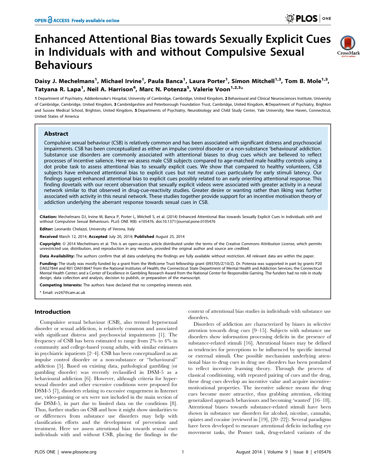# Enhanced Attentional Bias towards Sexually Explicit Cues in Individuals with and without Compulsive Sexual Behaviours



### Daisy J. Mechelmans<sup>1</sup>, Michael Irvine<sup>1</sup>, Paula Banca<sup>1</sup>, Laura Porter<sup>1</sup>, Simon Mitchell<sup>1,3</sup>, Tom B. Mole<sup>1,3</sup>, Tatyana R. Lapa<sup>1</sup>, Neil A. Harrison<sup>4</sup>, Marc N. Potenza<sup>5</sup>, Valerie Voon<sup>1,2,3</sup>\*

1 Department of Psychiatry, Addenbrooke's Hospital, University of Cambridge, Cambridge, United Kingdom, 2 Behavioural and Clinical Neurosciences Institute, University of Cambridge, Cambridge, United Kingdom, 3 Cambridgeshire and Peterborough Foundation Trust, Cambridge, United Kingdom, 4 Department of Psychiatry, Brighton and Sussex Medical School, Brighton, United Kingdom, 5 Departments of Psychiatry, Neurobiology and Child Study Center, Yale University, New Haven, Connecticut, United States of America

#### Abstract

Compulsive sexual behaviour (CSB) is relatively common and has been associated with significant distress and psychosocial impairments. CSB has been conceptualized as either an impulse control disorder or a non-substance 'behavioural' addiction. Substance use disorders are commonly associated with attentional biases to drug cues which are believed to reflect processes of incentive salience. Here we assess male CSB subjects compared to age-matched male healthy controls using a dot probe task to assess attentional bias to sexually explicit cues. We show that compared to healthy volunteers, CSB subjects have enhanced attentional bias to explicit cues but not neutral cues particularly for early stimuli latency. Our findings suggest enhanced attentional bias to explicit cues possibly related to an early orienting attentional response. This finding dovetails with our recent observation that sexually explicit videos were associated with greater activity in a neural network similar to that observed in drug-cue-reactivity studies. Greater desire or wanting rather than liking was further associated with activity in this neural network. These studies together provide support for an incentive motivation theory of addiction underlying the aberrant response towards sexual cues in CSB.

Citation: Mechelmans DJ, Irvine M, Banca P, Porter L, Mitchell S, et al. (2014) Enhanced Attentional Bias towards Sexually Explicit Cues in Individuals with and without Compulsive Sexual Behaviours. PLoS ONE 9(8): e105476. doi:10.1371/journal.pone.0105476

Editor: Leonardo Chelazzi, University of Verona, Italy

Received March 12, 2014; Accepted July 20, 2014; Published August 25, 2014

Copyright: © 2014 Mechelmans et al. This is an open-access article distributed under the terms of the [Creative Commons Attribution License,](http://creativecommons.org/licenses/by/4.0/) which permits unrestricted use, distribution, and reproduction in any medium, provided the original author and source are credited.

Data Availability: The authors confirm that all data underlying the findings are fully available without restriction. All relevant data are within the paper.

Funding: The study was mostly funded by a grant from the Wellcome Trust fellowship grant (093705/Z/10/Z). Dr. Potenza was supported in part by grants P20 DA027844 and R01 DA018647 from the National Institutes of Health; the Connecticut State Department of Mental Health and Addiction Services; the Connecticut Mental Health Center; and a Center of Excellence in Gambling Research Award from the National Center for Responsible Gaming. The funders had no role in study design, data collection and analysis, decision to publish, or preparation of the manuscript.

Competing Interests: The authors have declared that no competing interests exist.

\* Email: vv247@cam.ac.uk

#### Introduction

Compulsive sexual behaviour (CSB), also termed hypersexual disorder or sexual addiction, is relatively common and associated with significant distress and psychosocial impairments [1]. The frequency of CSB has been estimated to range from 2% to 4% in community and college-based young adults, with similar estimates in psychiatric inpatients [2–4]. CSB has been conceptualized as an impulse control disorder or a non-substance or ''behavioural'' addiction [5]. Based on existing data, pathological gambling (or gambling disorder) was recently reclassified in DSM-5 as a behavioural addiction [6]. However, although criteria for hypersexual disorder and other excessive conditions were proposed for DSM-5 [7], disorders relating to excessive engagement in Internet use, video-gaming or sex were not included in the main section of the DSM-5, in part due to limited data on the conditions [8]. Thus, further studies on CSB and how it might show similarities to or differences from substance use disorders may help with classification efforts and the development of prevention and treatment. Here we assess attentional bias towards sexual cues individuals with and without CSB, placing the findings in the

context of attentional bias studies in individuals with substance use disorders.

Disorders of addiction are characterized by biases in selective attention towards drug cues [9–15]. Subjects with substance use disorders show information processing deficits in the presence of substance-related stimuli [16]. Attentional biases may be defined as tendencies for perceptions to be influenced by specific internal or external stimuli. One possible mechanism underlying attentional bias to drug cues in drug use disorders has been postulated to reflect incentive learning theory. Through the process of classical conditioning, with repeated pairing of cues and the drug, these drug cues develop an incentive value and acquire incentivemotivational properties. The incentive salience means the drug cues become more attractive, thus grabbing attention, eliciting generalized approach behaviours and becoming 'wanted' [16–18]. Attentional biases towards substance-related stimuli have been shown in substance use disorders for alcohol, nicotine, cannabis, opiates and cocaine (reviewed in [19], [20–22]). Several paradigms have been developed to measure attentional deficits including eye movement tasks, the Posner task, drug-related variants of the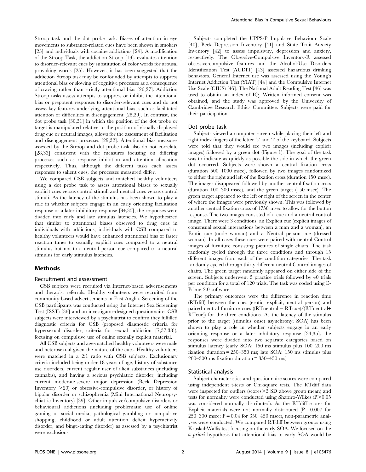Stroop task and the dot probe task. Biases of attention in eye movements to substance-related cues have been shown in smokers [23] and individuals with cocaine addictions [24]. A modification of the Stroop Task, the addiction Stroop [19], evaluates attention to disorder-relevant cues by substitution of color words for arousal provoking words [25]. However, it has been suggested that the addiction Stroop task may be confounded by attempts to suppress attentional bias or slowing of cognitive processes as a consequence of craving rather than strictly attentional bias [26,27]. Addiction Stroop tasks assess attempts to suppress or inhibit the attentional bias or prepotent responses to disorder-relevant cues and do not assess key features underlying attentional bias, such as facilitated attention or difficulties in disengagement [28,29]. In contrast, the dot probe task [30,31] in which the position of the dot probe or target is manipulated relative to the position of visually displayed drug cue or neutral images, allows for the assessment of facilitation and disengagement processes [29,32]. Attentional bias measures assessed by the Stroop and dot probe task also do not correlate [28,33] consistent with the measures focusing on differing processes such as response inhibition and attention allocation respectively. Thus, although the different tasks each assess responses to salient cues, the processes measured differ.

We compared CSB subjects and matched healthy volunteers using a dot probe task to assess attentional biases to sexually explicit cues versus control stimuli and neutral cues versus control stimuli. As the latency of the stimulus has been shown to play a role in whether subjects engage in an early orienting facilitation response or a later inhibitory response [34,35], the responses were divided into early and late stimulus latencies. We hypothesized that similar to attentional biases observed to drug cues in individuals with addictions, individuals with CSB compared to healthy volunteers would have enhanced attentional bias or faster reaction times to sexually explicit cues compared to a neutral stimulus but not to a neutral person cue compared to a neutral stimulus for early stimulus latencies.

#### Methods

#### Recruitment and assessment

CSB subjects were recruited via Internet-based advertisements and therapist referrals. Healthy volunteers were recruited from community-based advertisements in East Anglia. Screening of the CSB participants was conducted using the Internet Sex Screening Test (ISST) [36] and an investigator-designed questionnaire. CSB subjects were interviewed by a psychiatrist to confirm they fulfilled diagnostic criteria for CSB (proposed diagnostic criteria for hypersexual disorder, criteria for sexual addiction [7,37,38]), focusing on compulsive use of online sexually explicit material.

All CSB subjects and age-matched healthy volunteers were male and heterosexual given the nature of the cues. Healthy volunteers were matched in a 2:1 ratio with CSB subjects. Exclusionary criteria included being under 18 years of age, history of substance use disorders, current regular user of illicit substances (including cannabis), and having a serious psychiatric disorder, including current moderate-severe major depression (Beck Depression Inventory  $>20$  or obsessive-compulsive disorder, or history of bipolar disorder or schizophrenia (Mini International Neuropsychiatric Inventory) [39]. Other impulsive/compulsive disorders or behavioural addictions (including problematic use of online gaming or social media, pathological gambling or compulsive shopping, childhood or adult attention deficit hyperactivity disorder, and binge-eating disorder) as assessed by a psychiatrist were exclusions.

Subjects completed the UPPS-P Impulsive Behaviour Scale [40], Beck Depression Inventory [41] and State Trait Anxiety Inventory [42] to assess impulsivity, depression and anxiety, respectively. The Obsessive-Compulsive Inventory-R assessed obsessive-compulsive features and the Alcohol-Use Disorders Identification Test (AUDIT) [43] assessed hazardous drinking behaviors. General Internet use was assessed using the Young's Internet Addiction Test (YIAT) [44] and the Compulsive Internet Use Scale (CIUS) [45]. The National Adult Reading Test [46] was used to obtain an index of IQ. Written informed consent was obtained, and the study was approved by the University of Cambridge Research Ethics Committee. Subjects were paid for their participation.

#### Dot probe task

Subjects viewed a computer screen while placing their left and right index fingers of the letter 's' and 'l' of the keyboard. Subjects were told that they would see two images (including explicit images) followed by a green dot (Figure 1). The goal of the task was to indicate as quickly as possible the side in which the green dot occurred. Subjects were shown a central fixation cross (duration 500–1000 msec), followed by two images randomized to either the right and left of the fixation cross (duration 150 msec). The images disappeared followed by another central fixation cross (duration 100–300 msec), and the green target (150 msec). The green target appeared to the left or right of the screen in the center of where the images were previously shown. This was followed by another central fixation cross of 1750 msec to allow for the button response. The two images consisted of a cue and a neutral control image. There were 3 conditions: an Explicit cue (explicit images of consensual sexual interactions between a man and a woman), an Erotic cue (nude woman) and a Neutral person cue (dressed woman). In all cases these cues were paired with neutral Control images of furniture consisting pictures of single chairs. The task randomly cycled through the three conditions and through 15 different images from each of the condition categories. The task randomly cycled through thirty different neutral Control images of chairs. The green target randomly appeared on either side of the screen. Subjects underwent 5 practice trials followed by 40 trials per condition for a total of 120 trials. The task was coded using E-Prime 2.0 software.

The primary outcomes were the difference in reaction time (RTdiff) between the cues (erotic, explicit, neutral person) and paired neutral furniture cues ((RTneutral – RTcue)/(RTneutral+ RTcue)) for the three conditions. As the latency of the stimulus prior to the target (stimulus onset asynchrony; SOA) has been shown to play a role in whether subjects engage in an early orienting response or a later inhibitory response [34,35], the responses were divided into two separate categories based on stimulus latency (early SOA: 150 ms stimulus plus 100–200 ms fixation duration = 250–350 ms; late SOA: 150 ms stimulus plus 200–300 ms fixation duration = 350–450 ms).

#### Statistical analysis

Subject characteristics and questionnaire scores were compared using independent t-tests or Chi-square tests. The RTdiff data were inspected for outliers (scores>3 SD above group mean) and tests for normality were conducted using Shapiro-Wilkes  $(P>0.05)$ was considered normally distributed). As the RTdiff scores for Explicit materials were not normally distributed  $(P = 0.007$  for 250–300 msec;  $P = 0.04$  for 350–450 msec), non-parametric analyses were conducted. We compared RTdiff between groups using Kruskal-Wallis test focusing on the early SOA. We focused on the a priori hypothesis that attentional bias to early SOA would be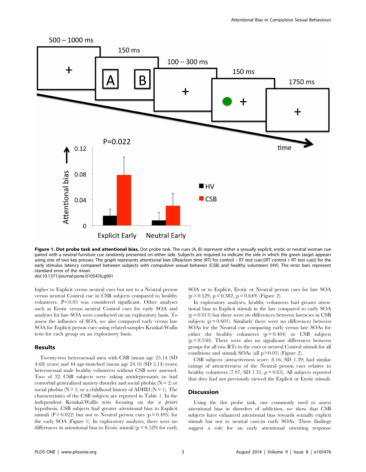

Figure 1. Dot probe task and attentional bias. Dot probe task. The cues (A, B) represent either a sexually explicit, erotic or neutral woman cue paired with a neutral furniture cue randomly presented on either side. Subjects are required to indicate the side in which the green target appears using one of two key presses. The graph represents attentional bias ((Reaction time (RT) for control – RT test cue)/(RT control + RT test cue)) for the early stimulus latency compared between subjects with compulsive sexual behavior (CSB) and healthy volunteers (HV). The error bars represent standard error of the mean. doi:10.1371/journal.pone.0105476.g001

higher to Explicit versus neutral cues but not to a Neutral person versus neutral Control cue in CSB subjects compared to healthy volunteers.  $P<0.05$  was considered significant. Other analyses such as Erotic versus neutral Control cues for early SOA and analyses for late SOA were conducted on an exploratory basis. To assess the influence of SOA, we also compared early versus late SOA for Explicit person cues using related-samples Kruskal-Wallis tests for each group on an exploratory basis.

#### Results

Twenty-two heterosexual men with CSB (mean age 25.14 (SD 4.68) years) and 44 age-matched (mean age 24.16 (SD 5.14) years) heterosexual male healthy volunteers without CSB were assessed. Two of 22 CSB subjects were taking antidepressants or had comorbid generalized anxiety disorder and social phobia  $(N = 2)$  or social phobia ( $N = 1$ ) or a childhood history of ADHD ( $N = 1$ ). The characteristics of the CSB subjects are reported in Table 1. In the independent Kruskal-Wallis tests focusing on the a priori hypothesis, CSB subjects had greater attentional bias to Explicit stimuli ( $P = 0.022$ ) but not to Neutral person cues ( $p = 0.495$ ) for the early SOA (Figure 1). In exploratory analyses, there were no differences in attentional bias to Erotic stimuli  $(p = 0.529)$  for early

SOA or to Explicit, Erotic or Neutral person cues for late SOA  $(p = 0.529, p = 0.382, p = 0.649)$  (Figure 2).

In exploratory analyses, healthy volunteers had greater attentional bias to Explicit stimuli in the late compared to early SOA  $(p = 0.013)$  but there were no differences between latencies in CSB subjects  $(p = 0.601)$ . Similarly there were no differences between SOAs for the Neutral cue comparing early versus late SOAs for either the healthy volunteers  $(p=0.404)$  or CSB subjects  $(p = 0.550)$ . There were also no significant differences between groups for all raw RTs to the cues or neutral Control stimuli for all conditions and stimuli SOAs (all  $p > 0.05$ ) (Figure 2).

CSB subjects (attractiveness score: 8.16, SD 1.39) had similar ratings of attractiveness of the Neutral person cues relative to healthy volunteers  $(7.97, SD 1.31; p = 0.63)$ . All subjects reported that they had not previously viewed the Explicit or Erotic stimuli.

#### **Discussion**

Using the dot probe task, one commonly used to assess attentional bias in disorders of addiction, we show that CSB subjects have enhanced attentional bias towards sexually explicit stimuli but not to neutral cues.in early SOAs. These findings suggest a role for an early attentional orienting response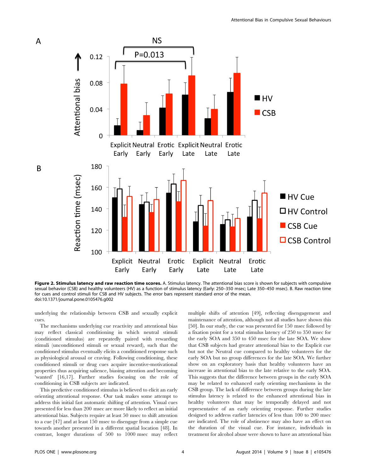

Figure 2. Stimulus latency and raw reaction time scores. A. Stimulus latency. The attentional bias score is shown for subjects with compulsive sexual behavior (CSB) and healthy volunteers (HV) as a function of stimulus latency (Early: 250–350 msec; Late 350–450 msec). B. Raw reaction time for cues and control stimuli for CSB and HV subjects. The error bars represent standard error of the mean. doi:10.1371/journal.pone.0105476.g002

underlying the relationship between CSB and sexually explicit cues.

The mechanisms underlying cue reactivity and attentional bias may reflect classical conditioning in which neutral stimuli (conditioned stimulus) are repeatedly paired with rewarding stimuli (unconditioned stimuli or sexual reward), such that the conditioned stimulus eventually elicits a conditioned response such as physiological arousal or craving. Following conditioning, these conditioned stimuli or drug cues acquire incentive-motivational properties thus acquiring salience, biasing attention and becoming 'wanted' [16,17]. Further studies focusing on the role of conditioning in CSB subjects are indicated.

This predictive conditioned stimulus is believed to elicit an early orienting attentional response. Our task makes some attempt to address this initial fast automatic shifting of attention. Visual cues presented for less than 200 msec are more likely to reflect an initial attentional bias. Subjects require at least 50 msec to shift attention to a cue [47] and at least 150 msec to disengage from a simple cue towards another presented in a different spatial location [48]. In contrast, longer durations of 500 to 1000 msec may reflect

multiple shifts of attention [49], reflecting disengagement and maintenance of attention, although not all studies have shown this [50]. In our study, the cue was presented for 150 msec followed by a fixation point for a total stimulus latency of 250 to 350 msec for the early SOA and 350 to 450 msec for the late SOA. We show that CSB subjects had greater attentional bias to the Explicit cue but not the Neutral cue compared to healthy volunteers for the early SOA but no group differences for the late SOA. We further show on an exploratory basis that healthy volunteers have an increase in attentional bias to the late relative to the early SOA. This suggests that the difference between groups in the early SOA may be related to enhanced early orienting mechanisms in the CSB group. The lack of difference between groups during the late stimulus latency is related to the enhanced attentional bias in healthy volunteers that may be temporally delayed and not representative of an early orienting response. Further studies designed to address earlier latencies of less than 100 to 200 msec are indicated. The role of abstinence may also have an effect on the duration of the visual cue. For instance, individuals in treatment for alcohol abuse were shown to have an attentional bias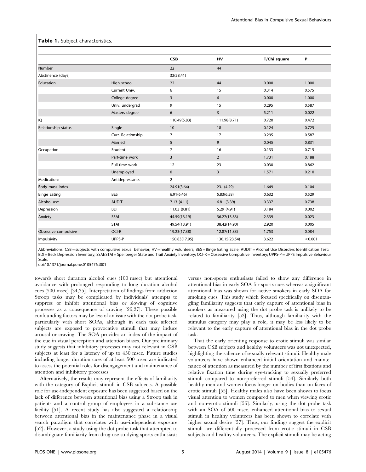|                      |                    | <b>CSB</b>     | HV             | T/Chi square | P       |
|----------------------|--------------------|----------------|----------------|--------------|---------|
| Number               |                    | 22             | 44             |              |         |
| Abstinence (days)    |                    | 32(28.41)      |                |              |         |
| Education            | High school        | 22             | 44             | 0.000        | 1.000   |
|                      | Current Univ.      | 6              | 15             | 0.314        | 0.575   |
|                      | College degree     | 3              | 6              | 0.000        | 1.000   |
|                      | Univ. undergrad    | 9              | 15             | 0.295        | 0.587   |
|                      | Masters degree     | 6              | 3              | 5.211        | 0.022   |
| l IQ                 |                    | 110.49(5.83)   | 111.98(8.71)   | 0.720        | 0.472   |
| Relationship status  | Single             | 10             | 18             | 0.124        | 0.725   |
|                      | Curr. Relationship | $\overline{7}$ | 17             | 0.295        | 0.587   |
|                      | Married            | 5              | 9              | 0.045        | 0.831   |
| Occupation           | Student            | $\overline{7}$ | 16             | 0.133        | 0.715   |
|                      | Part-time work     | 3              | $\overline{2}$ | 1.731        | 0.188   |
|                      | Full-time work     | 12             | 23             | 0.030        | 0.862   |
|                      | Unemployed         | $\mathbf 0$    | 3              | 1.571        | 0.210   |
| <b>Medications</b>   | Antidepressants    | $\overline{2}$ |                |              |         |
| Body mass index      |                    | 24.91(3.64)    | 23.1(4.29)     | 1.649        | 0.104   |
| <b>Binge Eating</b>  | <b>BES</b>         | 6.91(6.46)     | 5.83(6.58)     | 0.632        | 0.529   |
| Alcohol use          | <b>AUDIT</b>       | 7.13(4.11)     | 6.81(3.39)     | 0.337        | 0.738   |
| Depression           | <b>BDI</b>         | 11.03 (9.81)   | 5.29 (4.91)    | 3.184        | 0.002   |
| Anxiety              | SSAI               | 44.59(13.19)   | 36.27(13.83)   | 2.339        | 0.023   |
|                      | <b>STAI</b>        | 49.54(13.91)   | 38.42(14.90)   | 2.920        | 0.005   |
| Obsessive compulsive | OCI-R              | 19.23(17.38)   | 12.87(11.83)   | 1.753        | 0.084   |
| Impulsivity          | UPPS-P             | 150.83(17.95)  | 130.15(23.54)  | 3.622        | < 0.001 |

#### Table 1. Subject characteristics.

Abbreviations: CSB = subjects with compulsive sexual behavior; HV = healthy volunteers; BES = Binge Eating Scale; AUDIT = Alcohol Use Disorders Identification Test; BDI = Beck Depression Inventory; SSAI/STAI = Speilberger State and Trait Anxiety Inventory; OCI-R = Obsessive Compulsive Inventory; UPPS-P = UPPS Impulsive Behaviour Scale.

doi:10.1371/journal.pone.0105476.t001

towards short duration alcohol cues (100 msec) but attentional avoidance with prolonged responding to long duration alcohol cues (500 msec) [34,35]. Interpretation of findings from addiction Stroop tasks may be complicated by individuals' attempts to suppress or inhibit attentional bias or slowing of cognitive processes as a consequence of craving [26,27]. These possible confounding factors may be less of an issue with the dot probe task, particularly with short SOAs, although in each task affected subjects are exposed to provocative stimuli that may induce arousal or craving. The SOA provides an index of the impact of the cue in visual perception and attention biases. Our preliminary study suggests that inhibitory processes may not relevant in CSB subjects at least for a latency of up to 450 msec. Future studies including longer duration cues of at least 500 msec are indicated to assess the potential roles for disengagement and maintenance of attention and inhibitory processes.

Alternatively, the results may represent the effects of familiarity with the category of Explicit stimuli in CSB subjects. A possible role for use-independent exposure has been suggested based on the lack of difference between attentional bias using a Stroop task in patients and a control group of employees in a substance use facility [51]. A recent study has also suggested a relationship between attentional bias in the maintenance phase in a visual search paradigm that correlates with use-independent exposure [52]. However, a study using the dot probe task that attempted to disambiguate familiarity from drug use studying sports enthusiasts versus non-sports enthusiasts failed to show any difference in attentional bias in early SOA for sports cues whereas a significant attentional bias was shown for active smokers in early SOA for smoking cues. This study which focused specifically on disentangling familiarity suggests that early capture of attentional bias in smokers as measured using the dot probe task is unlikely to be related to familiarity [53]. Thus, although familiarity with the stimulus category may play a role, it may be less likely to be relevant to the early capture of attentional bias in the dot probe task.

That the early orienting response to erotic stimuli was similar between CSB subjects and healthy volunteers was not unexpected, highlighting the salience of sexually relevant stimuli. Healthy male volunteers have shown enhanced initial orientation and maintenance of attention as measured by the number of first fixations and relative fixation time during eye-tracking to sexually preferred stimuli compared to non-preferred stimuli [54]. Similarly both healthy men and women focus longer on bodies than on faces of erotic stimuli [55]. Healthy males also have been shown to focus visual attention to women compared to men when viewing erotic and non-erotic stimuli [56]. Similarly, using the dot probe task with an SOA of 500 msec, enhanced attentional bias to sexual stimuli in healthy volunteers has been shown to correlate with higher sexual desire [57]. Thus, our findings suggest the explicit stimuli are differentially processed from erotic stimuli in CSB subjects and healthy volunteers. The explicit stimuli may be acting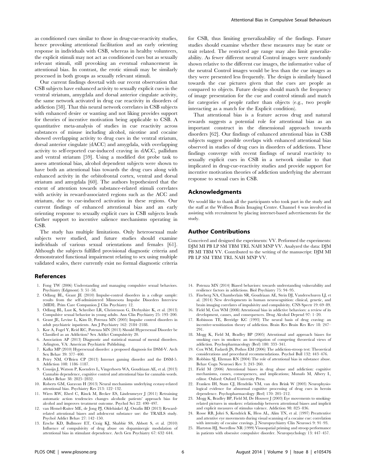as conditioned cues similar to those in drug-cue-reactivity studies, hence provoking attentional facilitation and an early orienting response in individuals with CSB, whereas in healthy volunteers, the explicit stimuli may not act as conditioned cues but as sexually relevant stimuli, still provoking an eventual enhancement in attentional bias. In contrast, the erotic stimuli may be similarly processed in both groups as sexually relevant stimuli.

Our current findings dovetail with our recent observation that CSB subjects have enhanced activity to sexually explicit cues in the ventral striatum, amygdala and dorsal anterior cingulate activity, the same network activated in drug cue reactivity in disorders of addiction [58]. That this neural network correlates in CSB subjects with enhanced desire or wanting and not liking provides support for theories of incentive motivation being applicable to CSB. A quantitative meta-analysis of studies in cue reactivity across substances of misuse including alcohol, nicotine and cocaine showed overlapping activity to drug cues in the ventral striatum, dorsal anterior cingulate (dACC) and amygdala, with overlapping activity to self-reported cue-induced craving in dACC, pallidum and ventral striatum [59]. Using a modified dot probe task to assess attentional bias, alcohol dependent subjects were shown to have both an attentional bias towards the drug cues along with enhanced activity in the orbitofrontal cortex, ventral and dorsal striatum and amygdala [60]. The authors hypothesized that the extent of attention towards substance-related stimuli correlates with activity in reward-associated regions such as the ACC and striatum, due to cue-induced activation in these regions. Our current findings of enhanced attentional bias and an early orienting response to sexually explicit cues in CSB subjects lends further support to incentive salience mechanisms operating in CSB.

The study has multiple limitations. Only heterosexual male subjects were studied, and future studies should examine individuals of various sexual orientations and females [61]. Although the subjects fulfilled provisional diagnostic criteria and demonstrated functional impairment relating to sex using multiple validated scales, there currently exist no formal diagnostic criteria

#### References

- 1. Fong TW (2006) Understanding and managing compulsive sexual behaviors. Psychiatry (Edgmont) 3: 51–58.
- 2. Odlaug BL, Grant JE (2010) Impulse-control disorders in a college sample: results from the self-administered Minnesota Impulse Disorders Interview (MIDI). Prim Care Companion J Clin Psychiatry 12.
- 3. Odlaug BL, Lust K, Schreiber LR, Christenson G, Derbyshire K, et al. (2013) Compulsive sexual behavior in young adults. Ann Clin Psychiatry 25: 193–200.
- 4. Grant JE, Levine L, Kim D, Potenza MN (2005) Impulse control disorders in adult psychiatric inpatients. Am J Psychiatry 162: 2184–2188.
- 5. Kor A, Fogel Y, Reid RC, Potenza MN (2013) Should Hypersexual Disorder be Classified as an Addiction? Sex Addict Compulsivity 20.
- 6. Association AP (2013) Diagnostic and statistical manual of mental disorders. Arlington, VA: American Psychiatric Publishing.
- 7. Kafka MP (2010) Hypersexual disorder: a proposed diagnosis for DSM-V. Arch Sex Behav 39: 377–400.
- 8. Petry NM, O'Brien CP (2013) Internet gaming disorder and the DSM-5. Addiction 108: 1186–1187.
- 9. Cousijn J, Watson P, Koenders L, Vingerhoets WA, Goudriaan AE, et al. (2013) Cannabis dependence, cognitive control and attentional bias for cannabis words. Addict Behav 38: 2825–2832.
- 10. Roberts GM, Garavan H (2013) Neural mechanisms underlying ecstasy-related attentional bias. Psychiatry Res 213: 122–132.
- 11. Wiers RW, Eberl C, Rinck M, Becker ES, Lindenmeyer J (2011) Retraining automatic action tendencies changes alcoholic patients' approach bias for alcohol and improves treatment outcome. Psychol Sci 22: 490–497.
- 12. van Hemel-Ruiter ME, de Jong PJ, Oldehinkel AJ, Ostafin BD (2013) Rewardrelated attentional biases and adolescent substance use: the TRAILS study. Psychol Addict Behav 27: 142–150.
- 13. Ersche KD, Bullmore ET, Craig KJ, Shabbir SS, Abbott S, et al. (2010) Influence of compulsivity of drug abuse on dopaminergic modulation of attentional bias in stimulant dependence. Arch Gen Psychiatry 67: 632–644.

for CSB, thus limiting generalizability of the findings. Future studies should examine whether these measures may be state or trait related. The restricted age range may also limit generalizability. As fewer different neutral Control images were randomly shown relative to the different cue images, the informative value of the neutral Control images would be less than the cue images as they were presented less frequently. The design is similarly biased towards the cue pictures given that the cues are people as compared to objects. Future designs should match the frequency of image presentation for the cue and control stimuli and match for categories of people rather than objects (e.g., two people interacting as a match for the Explicit condition).

That attentional bias is a feature across drug and natural rewards suggests a potential role for attentional bias as an important construct in the dimensional approach towards disorders [62]. Our findings of enhanced attentional bias in CSB subjects suggest possible overlaps with enhanced attentional bias observed in studies of drug cues in disorders of addictions. These findings converge with recent findings of neural reactivity to sexually explicit cues in CSB in a network similar to that implicated in drug-cue-reactivity studies and provide support for incentive motivation theories of addiction underlying the aberrant response to sexual cues in CSB.

#### Acknowledgments

We would like to thank all the participants who took part in the study and the staff at the Wolfson Brain Imaging Centre. Channel 4 was involved in assisting with recruitment by placing internet-based advertisements for the study.

#### Author Contributions

Conceived and designed the experiments: VV. Performed the experiments: DJM MI PB LP SM TBM TRL NAH MNP VV. Analyzed the data: DJM PB MI TBM VV. Contributed to the writing of the manuscript: DJM MI PB LP SM TBM TRL NAH MNP VV.

- 14. Potenza MN (2014) Biased behaviors: towards understanding vulnerability and resilience factors in addictions. Biol Psychiatry 75: 94–95.
- 15. Fineberg NA, Chamberlain SR, Goudriaan AE, Stein DJ, Vanderschuren LJ, et al. (2014) New developments in human neurocognition: clinical, genetic, and brain imaging correlates of impulsivity and compulsivity. CNS Spectr 19: 69–89.
- 16. Field M, Cox WM (2008) Attentional bias in addictive behaviors: a review of its development, causes, and consequences. Drug Alcohol Depend 97: 1–20.
- 17. Robinson TE, Berridge KC (1993) The neural basis of drug craving: an incentive-sensitization theory of addiction. Brain Res Brain Res Rev 18: 247– 291.
- 18. Mogg K, Field M, Bradley BP (2005) Attentional and approach biases for smoking cues in smokers: an investigation of competing theoretical views of addiction. Psychopharmacology (Berl) 180: 333–341.
- 19. Cox WM, Fadardi JS, Pothos EM (2006) The addiction-stroop test: Theoretical considerations and procedural recommendations. Psychol Bull 132: 443–476.
- 20. Robbins SJ, Ehrman RN (2004) The role of attentional bias in substance abuse. Behav Cogn Neurosci Rev 3: 243–260.
- 21. Field M (2006) Attentional biases in drug abuse and addiction: cognitive mechanisms, causes, consequences, and implications; Munafo M, Albery I., editor. Oxford: Oxford University Press.
- 22. Franken IH, Stam CJ, Hendriks VM, van den Brink W (2003) Neurophysiological evidence for abnormal cognitive processing of drug cues in heroin dependence. Psychopharmacology (Berl) 170: 205–212.
- 23. Mogg K, Bradley BP, Field M, De Houwer J (2003) Eye movements to smokingrelated pictures in smokers: relationship between attentional biases and implicit and explicit measures of stimulus valence. Addiction 98: 825–836.
- 24. Rosse RB, Johri S, Kendrick K, Hess AL, Alim TN, et al. (1997) Preattentive and attentive eye movements during visual scanning of a cocaine cue: correlation with intensity of cocaine cravings. J Neuropsychiatry Clin Neurosci 9: 91–93.
- 25. Hartston HJ, Swerdlow NR (1999) Visuospatial priming and stroop performance in patients with obsessive compulsive disorder. Neuropsychology 13: 447–457.